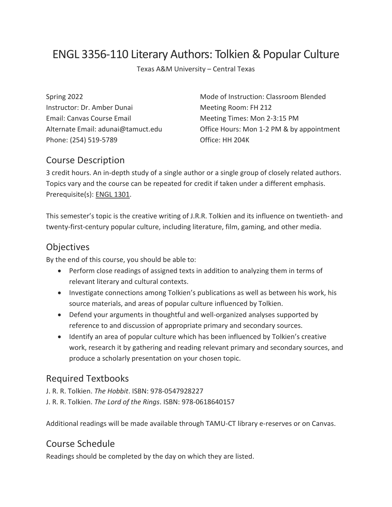# ENGL 3356-110 Literary Authors: Tolkien & Popular Culture

Texas A&M University – Central Texas

Instructor: Dr. Amber Dunai Meeting Room: FH 212 Email: Canvas Course Email **Meeting Times: Mon 2-3:15 PM** Phone: (254) 519-5789 Quantity Quantity Quantity Quantity Quantity Quantity Quantity Quantity Quantity Quantity Quantity Quantity Quantity Quantity Quantity Quantity Quant

Spring 2022 Mode of Instruction: Classroom Blended Alternate Email: adunai@tamuct.edu **Office Hours: Mon 1-2 PM & by appointment** 

#### Course Description

3 credit hours. An in-depth study of a single author or a single group of closely related authors. Topics vary and the course can be repeated for credit if taken under a different emphasis. Prerequisite(s): ENGL [1301.](http://catalog.tamuct.edu/search/?P=ENGL%201301)

This semester's topic is the creative writing of J.R.R. Tolkien and its influence on twentieth- and twenty-first-century popular culture, including literature, film, gaming, and other media.

### **Objectives**

By the end of this course, you should be able to:

- Perform close readings of assigned texts in addition to analyzing them in terms of relevant literary and cultural contexts.
- Investigate connections among Tolkien's publications as well as between his work, his source materials, and areas of popular culture influenced by Tolkien.
- Defend your arguments in thoughtful and well-organized analyses supported by reference to and discussion of appropriate primary and secondary sources.
- Identify an area of popular culture which has been influenced by Tolkien's creative work, research it by gathering and reading relevant primary and secondary sources, and produce a scholarly presentation on your chosen topic.

#### Required Textbooks

- J. R. R. Tolkien. *The Hobbit*. ISBN: 978-0547928227
- J. R. R. Tolkien. *The Lord of the Rings*. ISBN: 978-0618640157

Additional readings will be made available through TAMU-CT library e-reserves or on Canvas.

### Course Schedule

Readings should be completed by the day on which they are listed.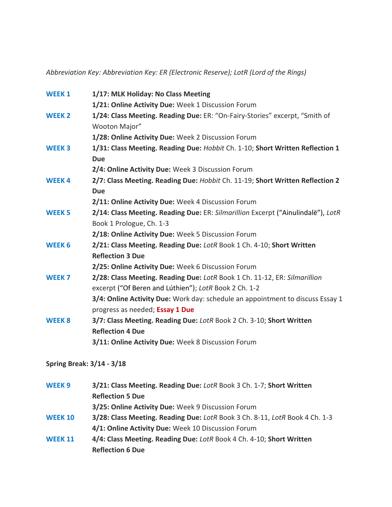*Abbreviation Key: Abbreviation Key: ER (Electronic Reserve); LotR (Lord of the Rings)*

| <b>WEEK1</b>      | 1/17: MLK Holiday: No Class Meeting                                              |
|-------------------|----------------------------------------------------------------------------------|
|                   | 1/21: Online Activity Due: Week 1 Discussion Forum                               |
| <b>WEEK 2</b>     | 1/24: Class Meeting. Reading Due: ER: "On-Fairy-Stories" excerpt, "Smith of      |
|                   | Wooton Major"                                                                    |
|                   | 1/28: Online Activity Due: Week 2 Discussion Forum                               |
| <b>WEEK3</b>      | 1/31: Class Meeting. Reading Due: Hobbit Ch. 1-10; Short Written Reflection 1    |
|                   | <b>Due</b>                                                                       |
|                   | 2/4: Online Activity Due: Week 3 Discussion Forum                                |
| <b>WEEK4</b>      | 2/7: Class Meeting. Reading Due: Hobbit Ch. 11-19; Short Written Reflection 2    |
|                   | <b>Due</b>                                                                       |
|                   | 2/11: Online Activity Due: Week 4 Discussion Forum                               |
| <b>WEEK 5</b>     | 2/14: Class Meeting. Reading Due: ER: Silmarillion Excerpt ("Ainulindalë"), LotR |
|                   | Book 1 Prologue, Ch. 1-3                                                         |
|                   | 2/18: Online Activity Due: Week 5 Discussion Forum                               |
| WEEK 6            | 2/21: Class Meeting. Reading Due: LotR Book 1 Ch. 4-10; Short Written            |
|                   | <b>Reflection 3 Due</b>                                                          |
|                   | 2/25: Online Activity Due: Week 6 Discussion Forum                               |
| WEEK <sub>7</sub> | 2/28: Class Meeting. Reading Due: LotR Book 1 Ch. 11-12, ER: Silmarillion        |
|                   | excerpt ("Of Beren and Lúthien"); LotR Book 2 Ch. 1-2                            |
|                   | 3/4: Online Activity Due: Work day: schedule an appointment to discuss Essay 1   |
|                   | progress as needed; Essay 1 Due                                                  |
| <b>WEEK 8</b>     | 3/7: Class Meeting. Reading Due: LotR Book 2 Ch. 3-10; Short Written             |
|                   | <b>Reflection 4 Due</b>                                                          |
|                   | 3/11: Online Activity Due: Week 8 Discussion Forum                               |

**Spring Break: 3/14 - 3/18**

| WEEK <sub>9</sub> | 3/21: Class Meeting. Reading Due: LotR Book 3 Ch. 1-7; Short Written        |
|-------------------|-----------------------------------------------------------------------------|
|                   | <b>Reflection 5 Due</b>                                                     |
|                   | 3/25: Online Activity Due: Week 9 Discussion Forum                          |
| <b>WEEK 10</b>    | 3/28: Class Meeting. Reading Due: LotR Book 3 Ch. 8-11, LotR Book 4 Ch. 1-3 |
|                   | 4/1: Online Activity Due: Week 10 Discussion Forum                          |
| <b>WEEK 11</b>    | 4/4: Class Meeting. Reading Due: LotR Book 4 Ch. 4-10; Short Written        |
|                   | <b>Reflection 6 Due</b>                                                     |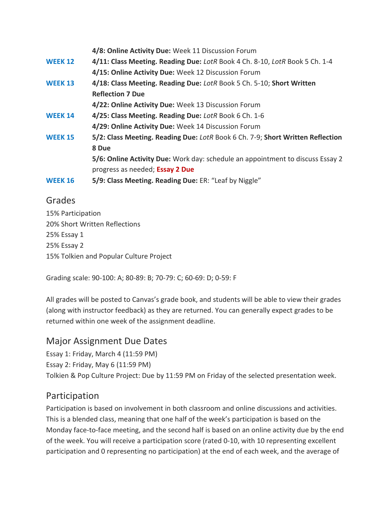|                | 4/8: Online Activity Due: Week 11 Discussion Forum                             |
|----------------|--------------------------------------------------------------------------------|
| <b>WEEK 12</b> | 4/11: Class Meeting. Reading Due: LotR Book 4 Ch. 8-10, LotR Book 5 Ch. 1-4    |
|                | 4/15: Online Activity Due: Week 12 Discussion Forum                            |
| <b>WEEK 13</b> | 4/18: Class Meeting. Reading Due: LotR Book 5 Ch. 5-10; Short Written          |
|                | <b>Reflection 7 Due</b>                                                        |
|                | 4/22: Online Activity Due: Week 13 Discussion Forum                            |
| <b>WEEK 14</b> | 4/25: Class Meeting. Reading Due: LotR Book 6 Ch. 1-6                          |
|                | 4/29: Online Activity Due: Week 14 Discussion Forum                            |
| <b>WEEK 15</b> | 5/2: Class Meeting. Reading Due: LotR Book 6 Ch. 7-9; Short Written Reflection |
|                | 8 Due                                                                          |
|                | 5/6: Online Activity Due: Work day: schedule an appointment to discuss Essay 2 |
|                | progress as needed; Essay 2 Due                                                |
| <b>WEEK 16</b> | 5/9: Class Meeting. Reading Due: ER: "Leaf by Niggle"                          |

### Grades

15% Participation 20% Short Written Reflections 25% Essay 1 25% Essay 2 15% Tolkien and Popular Culture Project

Grading scale: 90-100: A; 80-89: B; 70-79: C; 60-69: D; 0-59: F

All grades will be posted to Canvas's grade book, and students will be able to view their grades (along with instructor feedback) as they are returned. You can generally expect grades to be returned within one week of the assignment deadline.

### Major Assignment Due Dates

Essay 1: Friday, March 4 (11:59 PM) Essay 2: Friday, May 6 (11:59 PM) Tolkien & Pop Culture Project: Due by 11:59 PM on Friday of the selected presentation week.

## Participation

Participation is based on involvement in both classroom and online discussions and activities. This is a blended class, meaning that one half of the week's participation is based on the Monday face-to-face meeting, and the second half is based on an online activity due by the end of the week. You will receive a participation score (rated 0-10, with 10 representing excellent participation and 0 representing no participation) at the end of each week, and the average of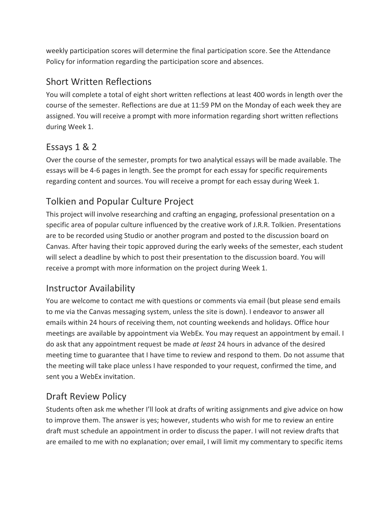weekly participation scores will determine the final participation score. See the Attendance Policy for information regarding the participation score and absences.

# Short Written Reflections

You will complete a total of eight short written reflections at least 400 words in length over the course of the semester. Reflections are due at 11:59 PM on the Monday of each week they are assigned. You will receive a prompt with more information regarding short written reflections during Week 1.

# Essays 1 & 2

Over the course of the semester, prompts for two analytical essays will be made available. The essays will be 4-6 pages in length. See the prompt for each essay for specific requirements regarding content and sources. You will receive a prompt for each essay during Week 1.

# Tolkien and Popular Culture Project

This project will involve researching and crafting an engaging, professional presentation on a specific area of popular culture influenced by the creative work of J.R.R. Tolkien. Presentations are to be recorded using Studio or another program and posted to the discussion board on Canvas. After having their topic approved during the early weeks of the semester, each student will select a deadline by which to post their presentation to the discussion board. You will receive a prompt with more information on the project during Week 1.

# Instructor Availability

You are welcome to contact me with questions or comments via email (but please send emails to me via the Canvas messaging system, unless the site is down). I endeavor to answer all emails within 24 hours of receiving them, not counting weekends and holidays. Office hour meetings are available by appointment via WebEx. You may request an appointment by email. I do ask that any appointment request be made *at least* 24 hours in advance of the desired meeting time to guarantee that I have time to review and respond to them. Do not assume that the meeting will take place unless I have responded to your request, confirmed the time, and sent you a WebEx invitation.

# Draft Review Policy

Students often ask me whether I'll look at drafts of writing assignments and give advice on how to improve them. The answer is yes; however, students who wish for me to review an entire draft must schedule an appointment in order to discuss the paper. I will not review drafts that are emailed to me with no explanation; over email, I will limit my commentary to specific items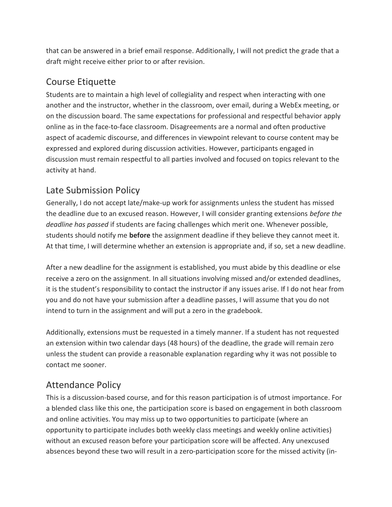that can be answered in a brief email response. Additionally, I will not predict the grade that a draft might receive either prior to or after revision.

# Course Etiquette

Students are to maintain a high level of collegiality and respect when interacting with one another and the instructor, whether in the classroom, over email, during a WebEx meeting, or on the discussion board. The same expectations for professional and respectful behavior apply online as in the face-to-face classroom. Disagreements are a normal and often productive aspect of academic discourse, and differences in viewpoint relevant to course content may be expressed and explored during discussion activities. However, participants engaged in discussion must remain respectful to all parties involved and focused on topics relevant to the activity at hand.

# Late Submission Policy

Generally, I do not accept late/make-up work for assignments unless the student has missed the deadline due to an excused reason. However, I will consider granting extensions *before the deadline has passed* if students are facing challenges which merit one. Whenever possible, students should notify me **before** the assignment deadline if they believe they cannot meet it. At that time, I will determine whether an extension is appropriate and, if so, set a new deadline.

After a new deadline for the assignment is established, you must abide by this deadline or else receive a zero on the assignment. In all situations involving missed and/or extended deadlines, it is the student's responsibility to contact the instructor if any issues arise. If I do not hear from you and do not have your submission after a deadline passes, I will assume that you do not intend to turn in the assignment and will put a zero in the gradebook.

Additionally, extensions must be requested in a timely manner. If a student has not requested an extension within two calendar days (48 hours) of the deadline, the grade will remain zero unless the student can provide a reasonable explanation regarding why it was not possible to contact me sooner.

# Attendance Policy

This is a discussion-based course, and for this reason participation is of utmost importance. For a blended class like this one, the participation score is based on engagement in both classroom and online activities. You may miss up to two opportunities to participate (where an opportunity to participate includes both weekly class meetings and weekly online activities) without an excused reason before your participation score will be affected. Any unexcused absences beyond these two will result in a zero-participation score for the missed activity (in-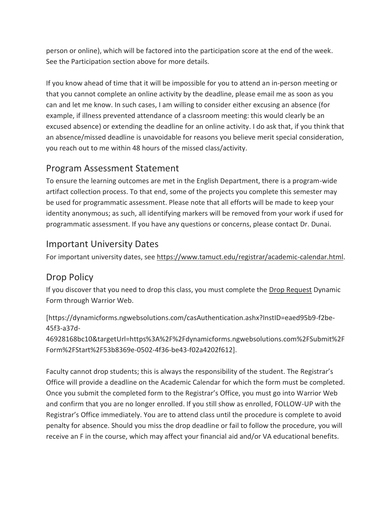person or online), which will be factored into the participation score at the end of the week. See the Participation section above for more details.

If you know ahead of time that it will be impossible for you to attend an in-person meeting or that you cannot complete an online activity by the deadline, please email me as soon as you can and let me know. In such cases, I am willing to consider either excusing an absence (for example, if illness prevented attendance of a classroom meeting: this would clearly be an excused absence) or extending the deadline for an online activity. I do ask that, if you think that an absence/missed deadline is unavoidable for reasons you believe merit special consideration, you reach out to me within 48 hours of the missed class/activity.

### Program Assessment Statement

To ensure the learning outcomes are met in the English Department, there is a program-wide artifact collection process. To that end, some of the projects you complete this semester may be used for programmatic assessment. Please note that all efforts will be made to keep your identity anonymous; as such, all identifying markers will be removed from your work if used for programmatic assessment. If you have any questions or concerns, please contact Dr. Dunai.

#### Important University Dates

For important university dates, see [https://www.tamuct.edu/registrar/academic-calendar.html.](https://www.tamuct.edu/registrar/academic-calendar.html)

## Drop Policy

If you discover that you need to drop this class, you must complete the [Drop Request](https://dynamicforms.ngwebsolutions.com/casAuthentication.ashx?InstID=eaed95b9-f2be-45f3-a37d-46928168bc10&targetUrl=https%3A%2F%2Fdynamicforms.ngwebsolutions.com%2FSubmit%2FForm%2FStart%2F53b8369e-0502-4f36-be43-f02a4202f612) Dynamic Form through Warrior Web.

[https://dynamicforms.ngwebsolutions.com/casAuthentication.ashx?InstID=eaed95b9-f2be-45f3-a37d-

46928168bc10&targetUrl=https%3A%2F%2Fdynamicforms.ngwebsolutions.com%2FSubmit%2F Form%2FStart%2F53b8369e-0502-4f36-be43-f02a4202f612].

Faculty cannot drop students; this is always the responsibility of the student. The Registrar's Office will provide a deadline on the Academic Calendar for which the form must be completed. Once you submit the completed form to the Registrar's Office, you must go into Warrior Web and confirm that you are no longer enrolled. If you still show as enrolled, FOLLOW-UP with the Registrar's Office immediately. You are to attend class until the procedure is complete to avoid penalty for absence. Should you miss the drop deadline or fail to follow the procedure, you will receive an F in the course, which may affect your financial aid and/or VA educational benefits.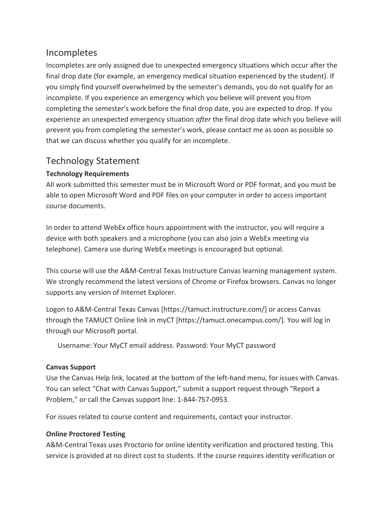#### Incompletes

Incompletes are only assigned due to unexpected emergency situations which occur after the final drop date (for example, an emergency medical situation experienced by the student). If you simply find yourself overwhelmed by the semester's demands, you do not qualify for an incomplete. If you experience an emergency which you believe will prevent you from completing the semester's work before the final drop date, you are expected to drop. If you experience an unexpected emergency situation *after* the final drop date which you believe will prevent you from completing the semester's work, please contact me as soon as possible so that we can discuss whether you qualify for an incomplete.

### Technology Statement

#### **Technology Requirements**

All work submitted this semester must be in Microsoft Word or PDF format, and you must be able to open Microsoft Word and PDF files on your computer in order to access important course documents.

In order to attend WebEx office hours appointment with the instructor, you will require a device with both speakers and a microphone (you can also join a WebEx meeting via telephone). Camera use during WebEx meetings is encouraged but optional.

This course will use the A&M-Central Texas Instructure Canvas learning management system. We strongly recommend the latest versions of Chrome or Firefox browsers. Canvas no longer supports any version of Internet Explorer.

Logon to A&M-Central Texas Canvas [https://tamuct.instructure.com/] or access Canvas through the TAMUCT Online link in myCT [https://tamuct.onecampus.com/]. You will log in through our Microsoft portal.

Username: Your MyCT email address. Password: Your MyCT password

#### **Canvas Support**

Use the Canvas Help link, located at the bottom of the left-hand menu, for issues with Canvas. You can select "Chat with Canvas Support," submit a support request through "Report a Problem," or call the Canvas support line: 1-844-757-0953.

For issues related to course content and requirements, contact your instructor.

#### **Online Proctored Testing**

A&M-Central Texas uses Proctorio for online identity verification and proctored testing. This service is provided at no direct cost to students. If the course requires identity verification or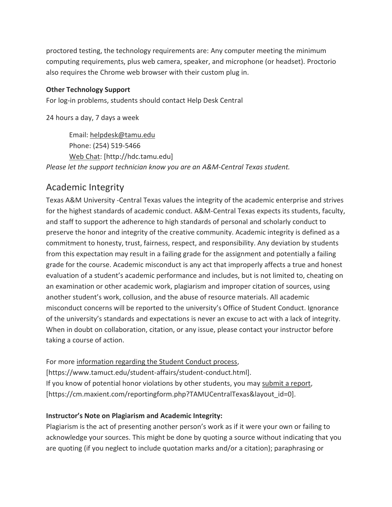proctored testing, the technology requirements are: Any computer meeting the minimum computing requirements, plus web camera, speaker, and microphone (or headset). Proctorio also requires the Chrome web browser with their custom plug in.

#### **Other Technology Support**

For log-in problems, students should contact Help Desk Central

24 hours a day, 7 days a week

Email: [helpdesk@tamu.edu](mailto:helpdesk@tamu.edu) Phone: (254) 519-5466 [Web Chat:](http://hdc.tamu.edu/) [http://hdc.tamu.edu] *Please let the support technician know you are an A&M-Central Texas student.*

# Academic Integrity

Texas A&M University -Central Texas values the integrity of the academic enterprise and strives for the highest standards of academic conduct. A&M-Central Texas expects its students, faculty, and staff to support the adherence to high standards of personal and scholarly conduct to preserve the honor and integrity of the creative community. Academic integrity is defined as a commitment to honesty, trust, fairness, respect, and responsibility. Any deviation by students from this expectation may result in a failing grade for the assignment and potentially a failing grade for the course. Academic misconduct is any act that improperly affects a true and honest evaluation of a student's academic performance and includes, but is not limited to, cheating on an examination or other academic work, plagiarism and improper citation of sources, using another student's work, collusion, and the abuse of resource materials. All academic misconduct concerns will be reported to the university's Office of Student Conduct. Ignorance of the university's standards and expectations is never an excuse to act with a lack of integrity. When in doubt on collaboration, citation, or any issue, please contact your instructor before taking a course of action.

For more [information regarding the Student Conduct process,](https://www.tamuct.edu/student-affairs/student-conduct.html)

[https://www.tamuct.edu/student-affairs/student-conduct.html]. If you know of potential honor violations by other students, you may [submit a report,](https://cm.maxient.com/reportingform.php?TAMUCentralTexas&layout_id=0) [https://cm.maxient.com/reportingform.php?TAMUCentralTexas&layout\_id=0].

#### **Instructor's Note on Plagiarism and Academic Integrity:**

Plagiarism is the act of presenting another person's work as if it were your own or failing to acknowledge your sources. This might be done by quoting a source without indicating that you are quoting (if you neglect to include quotation marks and/or a citation); paraphrasing or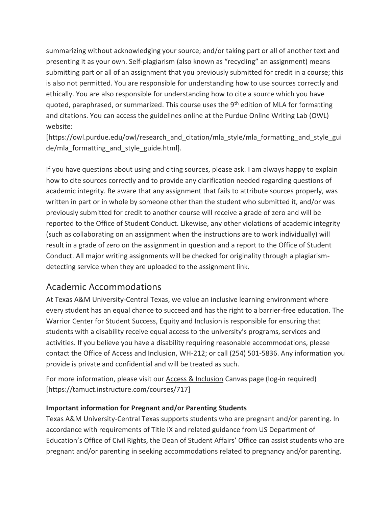summarizing without acknowledging your source; and/or taking part or all of another text and presenting it as your own. Self-plagiarism (also known as "recycling" an assignment) means submitting part or all of an assignment that you previously submitted for credit in a course; this is also not permitted. You are responsible for understanding how to use sources correctly and ethically. You are also responsible for understanding how to cite a source which you have quoted, paraphrased, or summarized. This course uses the 9<sup>th</sup> edition of MLA for formatting and citations. You can access the guidelines online at the [Purdue Online Writing Lab \(OWL\)](https://owl.purdue.edu/owl/research_and_citation/mla_style/mla_formatting_and_style_guide/mla_formatting_and_style_guide.html)  [website:](https://owl.purdue.edu/owl/research_and_citation/mla_style/mla_formatting_and_style_guide/mla_formatting_and_style_guide.html)

[https://owl.purdue.edu/owl/research\_and\_citation/mla\_style/mla\_formatting\_and\_style\_gui de/mla formatting and style guide.html].

If you have questions about using and citing sources, please ask. I am always happy to explain how to cite sources correctly and to provide any clarification needed regarding questions of academic integrity. Be aware that any assignment that fails to attribute sources properly, was written in part or in whole by someone other than the student who submitted it, and/or was previously submitted for credit to another course will receive a grade of zero and will be reported to the Office of Student Conduct. Likewise, any other violations of academic integrity (such as collaborating on an assignment when the instructions are to work individually) will result in a grade of zero on the assignment in question and a report to the Office of Student Conduct. All major writing assignments will be checked for originality through a plagiarismdetecting service when they are uploaded to the assignment link.

### Academic Accommodations

At Texas A&M University-Central Texas, we value an inclusive learning environment where every student has an equal chance to succeed and has the right to a barrier-free education. The Warrior Center for Student Success, Equity and Inclusion is responsible for ensuring that students with a disability receive equal access to the university's programs, services and activities. If you believe you have a disability requiring reasonable accommodations, please contact the Office of Access and Inclusion, WH-212; or call (254) 501-5836. Any information you provide is private and confidential and will be treated as such.

For more information, please visit our [Access & Inclusion](https://tamuct.instructure.com/courses/717) Canvas page (log-in required) [https://tamuct.instructure.com/courses/717]

#### **Important information for Pregnant and/or Parenting Students**

Texas A&M University-Central Texas supports students who are pregnant and/or parenting. In accordance with requirements of Title IX and related guidance from US Department of Education's Office of Civil Rights, the Dean of Student Affairs' Office can assist students who are pregnant and/or parenting in seeking accommodations related to pregnancy and/or parenting.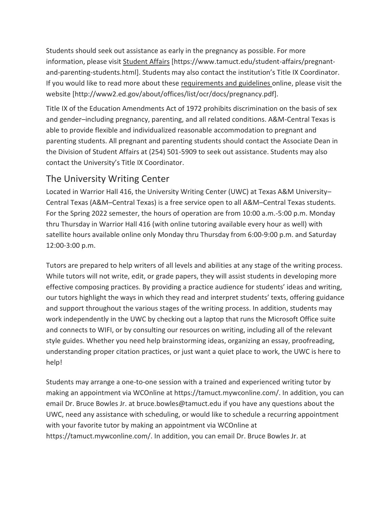Students should seek out assistance as early in the pregnancy as possible. For more information, please visit [Student Affairs](https://www.tamuct.edu/student-affairs/pregnant-and-parenting-students.html) [https://www.tamuct.edu/student-affairs/pregnantand-parenting-students.html]. Students may also contact the institution's Title IX Coordinator. If you would like to read more about these [requirements and guidelines](http://www2.ed.gov/about/offices/list/ocr/docs/pregnancy.pdf) online, please visit the website [http://www2.ed.gov/about/offices/list/ocr/docs/pregnancy.pdf].

Title IX of the Education Amendments Act of 1972 prohibits discrimination on the basis of sex and gender–including pregnancy, parenting, and all related conditions. A&M-Central Texas is able to provide flexible and individualized reasonable accommodation to pregnant and parenting students. All pregnant and parenting students should contact the Associate Dean in the Division of Student Affairs at (254) 501-5909 to seek out assistance. Students may also contact the University's Title IX Coordinator.

#### The University Writing Center

Located in Warrior Hall 416, the University Writing Center (UWC) at Texas A&M University– Central Texas (A&M–Central Texas) is a free service open to all A&M–Central Texas students. For the Spring 2022 semester, the hours of operation are from 10:00 a.m.-5:00 p.m. Monday thru Thursday in Warrior Hall 416 (with online tutoring available every hour as well) with satellite hours available online only Monday thru Thursday from 6:00-9:00 p.m. and Saturday 12:00-3:00 p.m.

Tutors are prepared to help writers of all levels and abilities at any stage of the writing process. While tutors will not write, edit, or grade papers, they will assist students in developing more effective composing practices. By providing a practice audience for students' ideas and writing, our tutors highlight the ways in which they read and interpret students' texts, offering guidance and support throughout the various stages of the writing process. In addition, students may work independently in the UWC by checking out a laptop that runs the Microsoft Office suite and connects to WIFI, or by consulting our resources on writing, including all of the relevant style guides. Whether you need help brainstorming ideas, organizing an essay, proofreading, understanding proper citation practices, or just want a quiet place to work, the UWC is here to help!

Students may arrange a one-to-one session with a trained and experienced writing tutor by making an appointment via WCOnline at https://tamuct.mywconline.com/. In addition, you can email Dr. Bruce Bowles Jr. at bruce.bowles@tamuct.edu if you have any questions about the UWC, need any assistance with scheduling, or would like to schedule a recurring appointment with your favorite tutor by making an appointment via WCOnline at https://tamuct.mywconline.com/. In addition, you can email Dr. Bruce Bowles Jr. at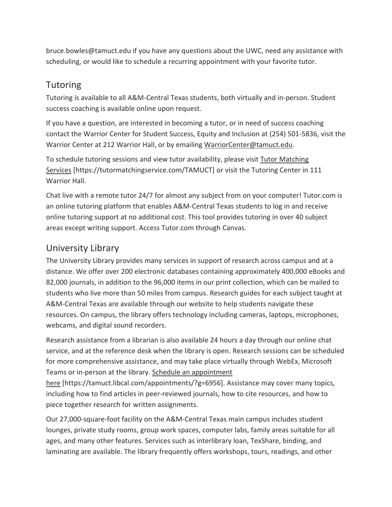bruce.bowles@tamuct.edu if you have any questions about the UWC, need any assistance with scheduling, or would like to schedule a recurring appointment with your favorite tutor.

## Tutoring

Tutoring is available to all A&M-Central Texas students, both virtually and in-person. Student success coaching is available online upon request.

If you have a question, are interested in becoming a tutor, or in need of success coaching contact the Warrior Center for Student Success, Equity and Inclusion at (254) 501-5836, visit the Warrior Center at 212 Warrior Hall, or by emailing [WarriorCenter@tamuct.edu.](mailto:WarriorCenter@tamuct.edu)

To schedule tutoring sessions and view tutor availability, please visit Tutor [Matching](https://nam04.safelinks.protection.outlook.com/?url=http%3A%2F%2Fwww.tutormatchingservices.com%2FTAMUCT&data=04%7C01%7Clisa.bunkowski%40tamuct.edu%7C886784139069461670c308d9aa01f55e%7C9eed4e3000f744849ff193ad8005acec%7C0%7C0%7C637727747643427346%7CUnknown%7CTWFpbGZsb3d8eyJWIjoiMC4wLjAwMDAiLCJQIjoiV2luMzIiLCJBTiI6Ik1haWwiLCJXVCI6Mn0%3D%7C3000&sdata=D%2F8HN2bUT1lLPfs5qSqKYlwh8a7pZVy7isM2gppluQE%3D&reserved=0) [Services](https://nam04.safelinks.protection.outlook.com/?url=http%3A%2F%2Fwww.tutormatchingservices.com%2FTAMUCT&data=04%7C01%7Clisa.bunkowski%40tamuct.edu%7C886784139069461670c308d9aa01f55e%7C9eed4e3000f744849ff193ad8005acec%7C0%7C0%7C637727747643427346%7CUnknown%7CTWFpbGZsb3d8eyJWIjoiMC4wLjAwMDAiLCJQIjoiV2luMzIiLCJBTiI6Ik1haWwiLCJXVCI6Mn0%3D%7C3000&sdata=D%2F8HN2bUT1lLPfs5qSqKYlwh8a7pZVy7isM2gppluQE%3D&reserved=0) [https://tutormatchingservice.com/TAMUCT] or visit the Tutoring Center in 111 Warrior Hall.

Chat live with a remote tutor 24/7 for almost any subject from on your computer! Tutor.com is an online tutoring platform that enables A&M-Central Texas students to log in and receive online tutoring support at no additional cost. This tool provides tutoring in over 40 subject areas except writing support. Access Tutor.com through Canvas.

# University Library

The University Library provides many services in support of research across campus and at a distance. We offer over 200 electronic databases containing approximately 400,000 eBooks and 82,000 journals, in addition to the 96,000 items in our print collection, which can be mailed to students who live more than 50 miles from campus. Research guides for each subject taught at A&M-Central Texas are available through our website to help students navigate these resources. On campus, the library offers technology including cameras, laptops, microphones, webcams, and digital sound recorders.

Research assistance from a librarian is also available 24 hours a day through our online chat service, and at the reference desk when the library is open. Research sessions can be scheduled for more comprehensive assistance, and may take place virtually through WebEx, Microsoft Teams or in-person at the library. Schedule an [appointment](https://nam04.safelinks.protection.outlook.com/?url=https%3A%2F%2Ftamuct.libcal.com%2Fappointments%2F%3Fg%3D6956&data=04%7C01%7Clisa.bunkowski%40tamuct.edu%7Cde2c07d9f5804f09518008d9ab7ba6ff%7C9eed4e3000f744849ff193ad8005acec%7C0%7C0%7C637729369835011558%7CUnknown%7CTWFpbGZsb3d8eyJWIjoiMC4wLjAwMDAiLCJQIjoiV2luMzIiLCJBTiI6Ik1haWwiLCJXVCI6Mn0%3D%7C3000&sdata=KhtjgRSAw9aq%2FoBsB6wyu8b7PSuGN5EGPypzr3Ty2No%3D&reserved=0)

[here](https://nam04.safelinks.protection.outlook.com/?url=https%3A%2F%2Ftamuct.libcal.com%2Fappointments%2F%3Fg%3D6956&data=04%7C01%7Clisa.bunkowski%40tamuct.edu%7Cde2c07d9f5804f09518008d9ab7ba6ff%7C9eed4e3000f744849ff193ad8005acec%7C0%7C0%7C637729369835011558%7CUnknown%7CTWFpbGZsb3d8eyJWIjoiMC4wLjAwMDAiLCJQIjoiV2luMzIiLCJBTiI6Ik1haWwiLCJXVCI6Mn0%3D%7C3000&sdata=KhtjgRSAw9aq%2FoBsB6wyu8b7PSuGN5EGPypzr3Ty2No%3D&reserved=0) [https://tamuct.libcal.com/appointments/?g=6956]. Assistance may cover many topics, including how to find articles in peer-reviewed journals, how to cite resources, and how to piece together research for written assignments.

Our 27,000-square-foot facility on the A&M-Central Texas main campus includes student lounges, private study rooms, group work spaces, computer labs, family areas suitable for all ages, and many other features. Services such as interlibrary loan, TexShare, binding, and laminating are available. The library frequently offers workshops, tours, readings, and other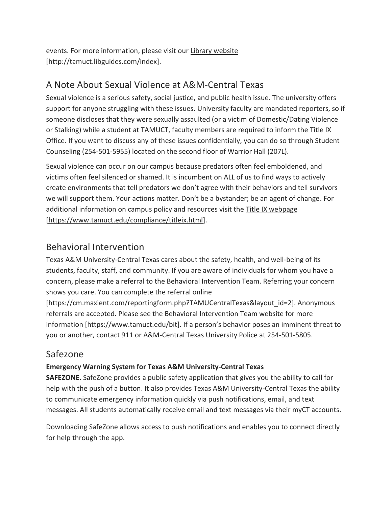events. For more information, please visit our Library [website](https://nam04.safelinks.protection.outlook.com/?url=https%3A%2F%2Ftamuct.libguides.com%2Findex&data=04%7C01%7Clisa.bunkowski%40tamuct.edu%7C7d8489e8839a4915335f08d916f067f2%7C9eed4e3000f744849ff193ad8005acec%7C0%7C0%7C637566044056484222%7CUnknown%7CTWFpbGZsb3d8eyJWIjoiMC4wLjAwMDAiLCJQIjoiV2luMzIiLCJBTiI6Ik1haWwiLCJXVCI6Mn0%3D%7C1000&sdata=2R755V6rcIyedGrd4Os5rkgn1PvhHKU3kUV1vBKiHFo%3D&reserved=0) [http://tamuct.libguides.com/index].

### A Note About Sexual Violence at A&M-Central Texas

Sexual violence is a serious safety, social justice, and public health issue. The university offers support for anyone struggling with these issues. University faculty are mandated reporters, so if someone discloses that they were sexually assaulted (or a victim of Domestic/Dating Violence or Stalking) while a student at TAMUCT, faculty members are required to inform the Title IX Office. If you want to discuss any of these issues confidentially, you can do so through Student Counseling (254-501-5955) located on the second floor of Warrior Hall (207L).

Sexual violence can occur on our campus because predators often feel emboldened, and victims often feel silenced or shamed. It is incumbent on ALL of us to find ways to actively create environments that tell predators we don't agree with their behaviors and tell survivors we will support them. Your actions matter. Don't be a bystander; be an agent of change. For additional information on campus policy and resources visit the [Title IX webpage](https://www.tamuct.edu/compliance/titleix.html) [\[https://www.tamuct.edu/compliance/titleix.html\]](https://www.tamuct.edu/compliance/titleix.html).

### Behavioral Intervention

Texas A&M University-Central Texas cares about the safety, health, and well-being of its students, faculty, staff, and community. If you are aware of individuals for whom you have a concern, please make a referral to the Behavioral Intervention Team. Referring your concern shows you care. You can complete the referral online

[https://cm.maxient.com/reportingform.php?TAMUCentralTexas&layout\_id=2]. Anonymous referrals are accepted. Please see the Behavioral Intervention Team website for more information [https://www.tamuct.edu/bit]. If a person's behavior poses an imminent threat to you or another, contact 911 or A&M-Central Texas University Police at 254-501-5805.

### Safezone

#### **Emergency Warning System for Texas A&M University-Central Texas**

**SAFEZONE.** SafeZone provides a public safety application that gives you the ability to call for help with the push of a button. It also provides Texas A&M University-Central Texas the ability to communicate emergency information quickly via push notifications, email, and text messages. All students automatically receive email and text messages via their myCT accounts.

Downloading SafeZone allows access to push notifications and enables you to connect directly for help through the app.